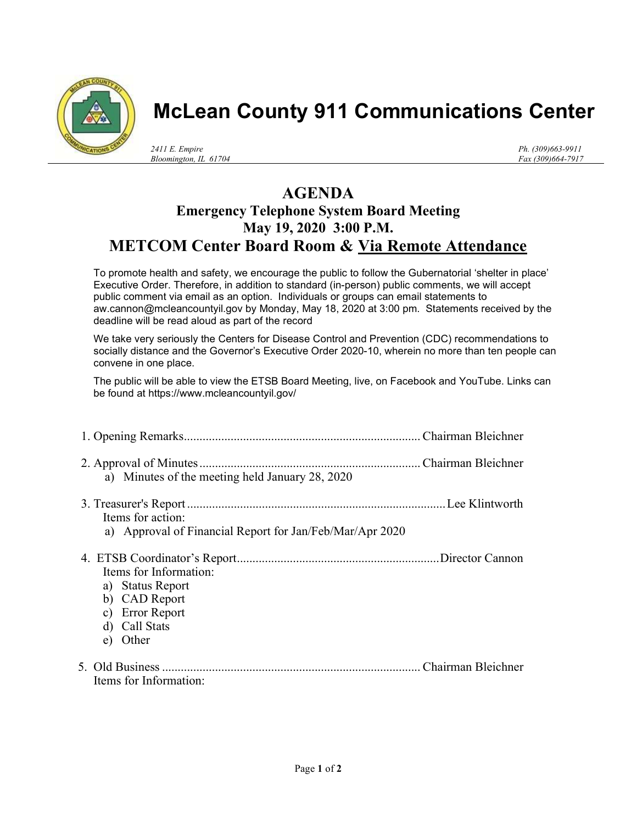

## McLean County 911 Communications Center

2411 E. Empire Bloomington, IL 61704 Ph. (309)663-9911 Fax (309)664-7917

## AGENDA Emergency Telephone System Board Meeting May 19, 2020 3:00 P.M. METCOM Center Board Room & Via Remote Attendance

To promote health and safety, we encourage the public to follow the Gubernatorial 'shelter in place' Executive Order. Therefore, in addition to standard (in-person) public comments, we will accept public comment via email as an option. Individuals or groups can email statements to aw.cannon@mcleancountyil.gov by Monday, May 18, 2020 at 3:00 pm. Statements received by the deadline will be read aloud as part of the record

We take very seriously the Centers for Disease Control and Prevention (CDC) recommendations to socially distance and the Governor's Executive Order 2020-10, wherein no more than ten people can convene in one place.

The public will be able to view the ETSB Board Meeting, live, on Facebook and YouTube. Links can be found at https://www.mcleancountyil.gov/

| a) Minutes of the meeting held January 28, 2020                                                             |
|-------------------------------------------------------------------------------------------------------------|
| Items for action:<br>a) Approval of Financial Report for Jan/Feb/Mar/Apr 2020                               |
| Items for Information:<br>a) Status Report<br>b) CAD Report<br>c) Error Report<br>d) Call Stats<br>e) Other |
| Items for Information:                                                                                      |